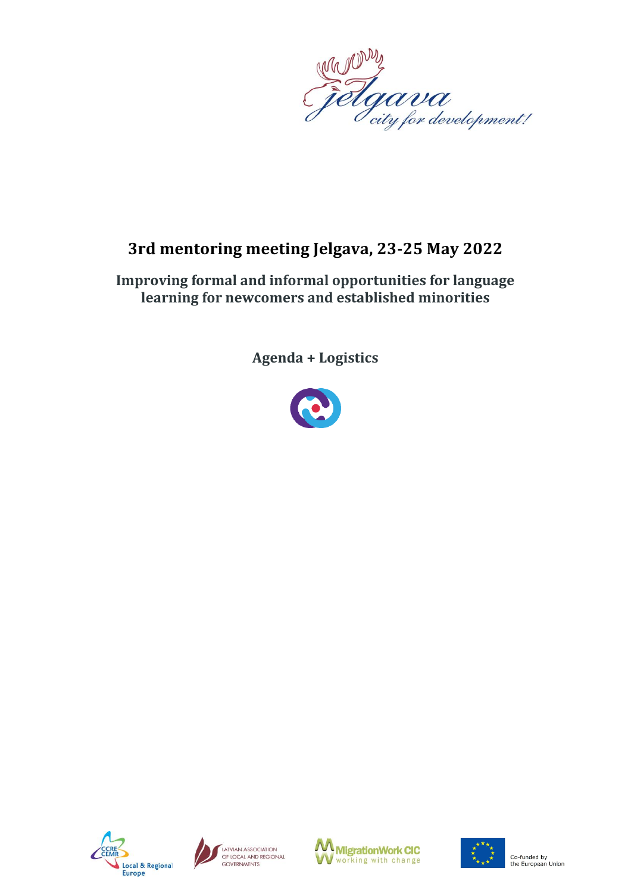

# **3rd mentoring meeting Jelgava, 23-25 May 2022**

## **Improving formal and informal opportunities for language learning for newcomers and established minorities**

**Agenda + Logistics**









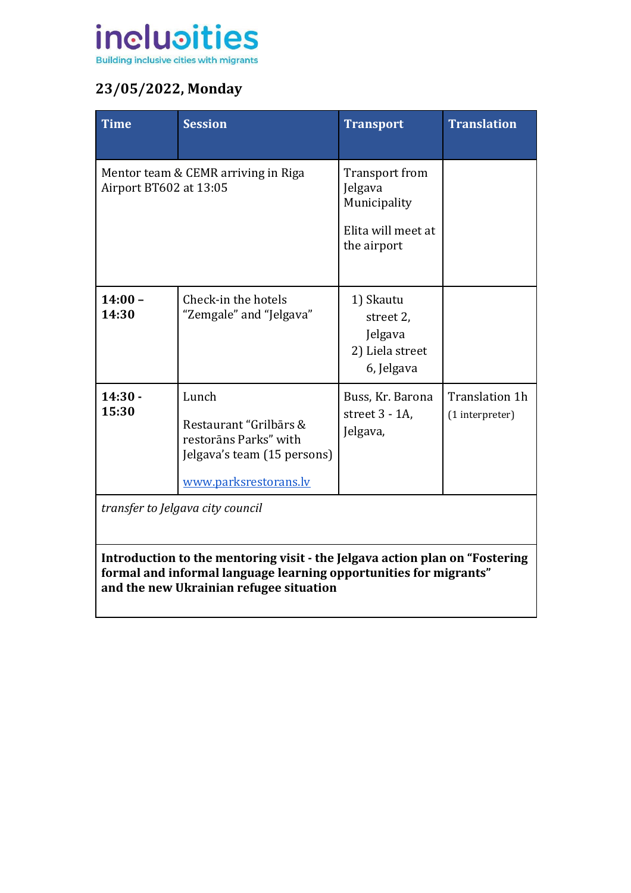

# **23/05/2022, Monday**

| <b>Time</b>            | <b>Session</b>                                                                                                   | <b>Transport</b>                                                               | <b>Translation</b>                |
|------------------------|------------------------------------------------------------------------------------------------------------------|--------------------------------------------------------------------------------|-----------------------------------|
| Airport BT602 at 13:05 | Mentor team & CEMR arriving in Riga                                                                              | Transport from<br>Jelgava<br>Municipality<br>Elita will meet at<br>the airport |                                   |
| $14:00 -$<br>14:30     | Check-in the hotels<br>"Zemgale" and "Jelgava"                                                                   | 1) Skautu<br>street 2,<br>Jelgava<br>2) Liela street<br>6, Jelgava             |                                   |
| $14:30 -$<br>15:30     | Lunch<br>Restaurant "Grilbārs &<br>restorāns Parks" with<br>Jelgava's team (15 persons)<br>www.parksrestorans.lv | Buss, Kr. Barona<br>street 3 - 1A,<br>Jelgava,                                 | Translation 1h<br>(1 interpreter) |

*transfer to Jelgava city council*

**Introduction to the mentoring visit - the Jelgava action plan on "Fostering formal and informal language learning opportunities for migrants" and the new Ukrainian refugee situation**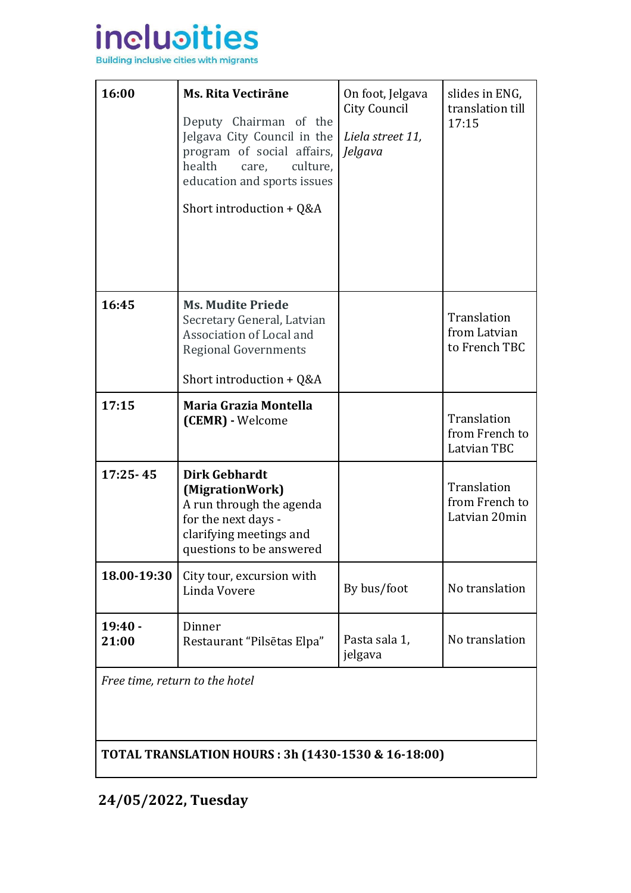

| 16:00              | <b>Ms. Rita Vectirāne</b><br>Deputy Chairman of the<br>Jelgava City Council in the<br>program of social affairs,<br>health<br>culture,<br>care,<br>education and sports issues<br>Short introduction + Q&A | On foot, Jelgava<br>City Council<br>Liela street 11,<br>Jelgava | slides in ENG,<br>translation till<br>17:15    |
|--------------------|------------------------------------------------------------------------------------------------------------------------------------------------------------------------------------------------------------|-----------------------------------------------------------------|------------------------------------------------|
| 16:45              | <b>Ms. Mudite Priede</b><br>Secretary General, Latvian<br>Association of Local and<br><b>Regional Governments</b><br>Short introduction + $Q&A$                                                            |                                                                 | Translation<br>from Latvian<br>to French TBC   |
| 17:15              | Maria Grazia Montella<br>(CEMR) - Welcome                                                                                                                                                                  |                                                                 | Translation<br>from French to<br>Latvian TBC   |
| $17:25 - 45$       | Dirk Gebhardt<br>(MigrationWork)<br>A run through the agenda<br>for the next days -<br>clarifying meetings and<br>questions to be answered                                                                 |                                                                 | Translation<br>from French to<br>Latvian 20min |
| 18.00-19:30        | City tour, excursion with<br>Linda Vovere                                                                                                                                                                  | By bus/foot                                                     | No translation                                 |
| $19:40 -$<br>21:00 | Dinner<br>Restaurant "Pilsētas Elpa"                                                                                                                                                                       | Pasta sala 1,<br>jelgava                                        | No translation                                 |

*Free time, return to the hotel*

**TOTAL TRANSLATION HOURS : 3h (1430-1530 & 16-18:00)**

**24/05/2022, Tuesday**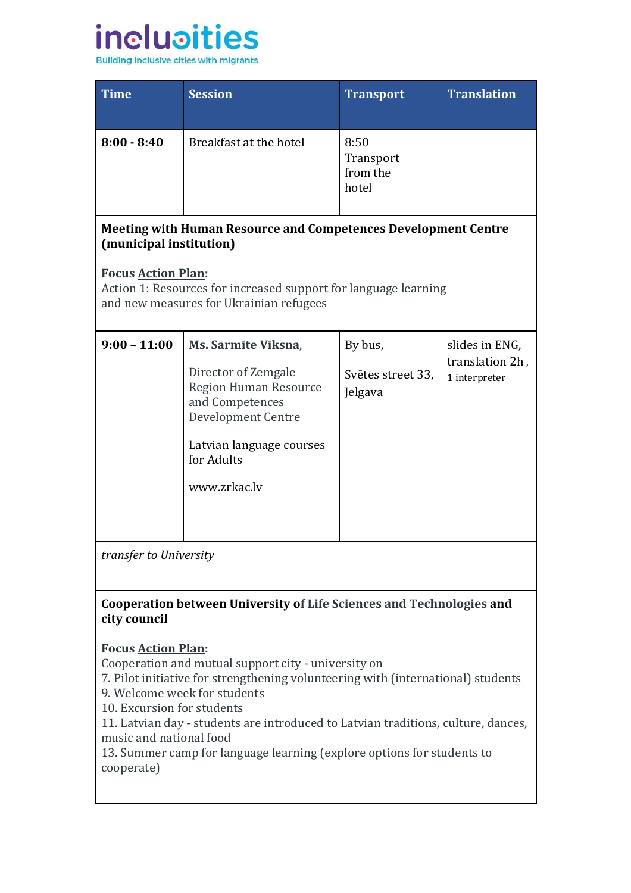

| <b>Time</b>   | <b>Session</b>         | <b>Transport</b>                       | <b>Translation</b> |
|---------------|------------------------|----------------------------------------|--------------------|
| $8:00 - 8:40$ | Breakfast at the hotel | 8:50<br>Transport<br>from the<br>hotel |                    |

## **Meeting with Human Resource and Competences Development Centre (municipal institution)**

## **Focus [Action Plan:](https://docs.google.com/document/d/1SHujq-E3mhsYb_UGi5cqiRjbTps0SSaP/edit)**

Action 1: Resources for increased support for language learning and new measures for Ukrainian refugees

| $9:00 - 11:00$ | Ms. Sarmīte Vīksna,<br>Director of Zemgale<br>Region Human Resource<br>and Competences<br>Development Centre<br>Latvian language courses<br>for Adults<br>www.zrkac.lv | By bus,<br>Svētes street 33,<br>Jelgava | slides in ENG,<br>translation 2h,<br>1 interpreter |
|----------------|------------------------------------------------------------------------------------------------------------------------------------------------------------------------|-----------------------------------------|----------------------------------------------------|
|                |                                                                                                                                                                        |                                         |                                                    |

*transfer to University*

### **Cooperation between University of Life Sciences and Technologies and city council**

### **Focus [Action Plan:](https://docs.google.com/document/d/1SHujq-E3mhsYb_UGi5cqiRjbTps0SSaP/edit)**

Cooperation and mutual support city - university on

7. Pilot initiative for strengthening volunteering with (international) students 9. Welcome week for students

10. Excursion for students

11. Latvian day - students are introduced to Latvian traditions, culture, dances, music and national food

13. Summer camp for language learning (explore options for students to cooperate)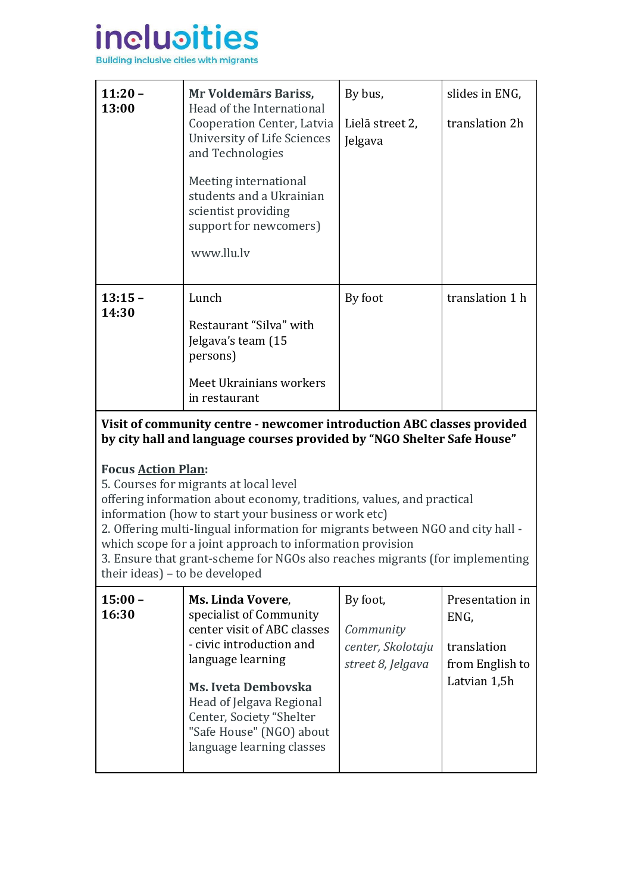

| $11:20 -$<br>13:00 | Mr Voldemārs Bariss,<br>Head of the International<br>Cooperation Center, Latvia<br>University of Life Sciences<br>and Technologies<br>Meeting international<br>students and a Ukrainian<br>scientist providing<br>support for newcomers)<br>www.llu.ly | By bus,<br>Lielā street 2,<br>Jelgava | slides in ENG,<br>translation 2h |
|--------------------|--------------------------------------------------------------------------------------------------------------------------------------------------------------------------------------------------------------------------------------------------------|---------------------------------------|----------------------------------|
| $13:15 -$<br>14:30 | Lunch<br>Restaurant "Silva" with<br>Jelgava's team (15<br>persons)<br>Meet Ukrainians workers<br>in restaurant                                                                                                                                         | By foot                               | translation 1 h                  |

**Visit of community centre - newcomer introduction ABC classes provided by city hall and language courses provided by "NGO Shelter Safe House"** 

### **Focus [Action Plan:](https://docs.google.com/document/d/1SHujq-E3mhsYb_UGi5cqiRjbTps0SSaP/edit)**

5. Courses for migrants at local level

offering information about economy, traditions, values, and practical information (how to start your business or work etc)

2. Offering multi-lingual information for migrants between NGO and city hall -

which scope for a joint approach to information provision

3. Ensure that grant-scheme for NGOs also reaches migrants (for implementing their ideas) – to be developed

| $15:00 -$<br>16:30 | Ms. Linda Vovere,<br>specialist of Community<br>center visit of ABC classes<br>- civic introduction and<br>language learning<br><b>Ms. Iveta Dembovska</b><br>Head of Jelgava Regional<br>Center, Society "Shelter<br>"Safe House" (NGO) about<br>language learning classes | By foot,<br>Community<br>center, Skolotaju<br>street 8, Jelgava | Presentation in<br>ENG,<br>translation<br>from English to<br>Latvian 1,5h |
|--------------------|-----------------------------------------------------------------------------------------------------------------------------------------------------------------------------------------------------------------------------------------------------------------------------|-----------------------------------------------------------------|---------------------------------------------------------------------------|
|--------------------|-----------------------------------------------------------------------------------------------------------------------------------------------------------------------------------------------------------------------------------------------------------------------------|-----------------------------------------------------------------|---------------------------------------------------------------------------|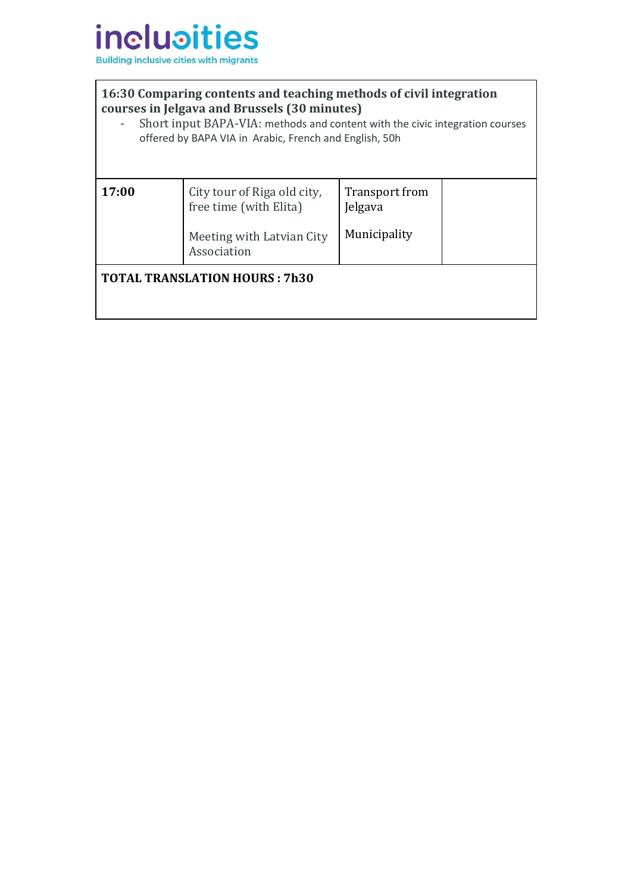

### **16:30 Comparing contents and teaching methods of civil integration courses in Jelgava and Brussels (30 minutes)**

- Short input BAPA-VIA: methods and content with the civic integration courses offered by BAPA VIA in Arabic, French and English, 50h

| 17:00                                | City tour of Riga old city,<br>free time (with Elita) | Transport from<br>Jelgava |  |
|--------------------------------------|-------------------------------------------------------|---------------------------|--|
|                                      | Meeting with Latvian City<br>Association              | Municipality              |  |
| <b>TOTAL TRANSLATION HOURS: 7h30</b> |                                                       |                           |  |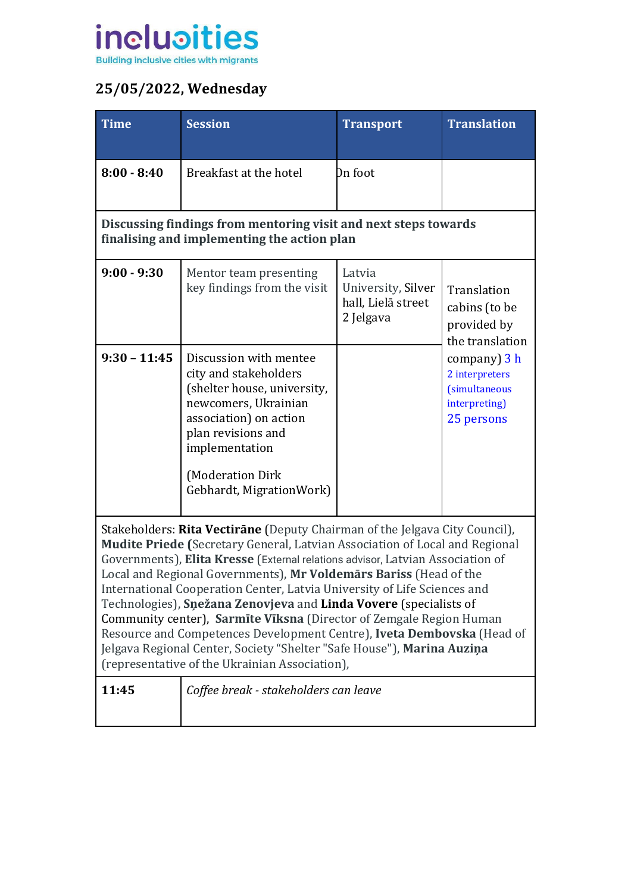

# **25/05/2022, Wednesday**

| <b>Time</b>                                                                                                                                                                                                                                                                                                                                                                                                                                                                                                                                                                                                                                                                                                                                     | <b>Session</b>                                                                                                                                                                                                           | <b>Transport</b>                                                | <b>Translation</b>                                                                                                                                       |
|-------------------------------------------------------------------------------------------------------------------------------------------------------------------------------------------------------------------------------------------------------------------------------------------------------------------------------------------------------------------------------------------------------------------------------------------------------------------------------------------------------------------------------------------------------------------------------------------------------------------------------------------------------------------------------------------------------------------------------------------------|--------------------------------------------------------------------------------------------------------------------------------------------------------------------------------------------------------------------------|-----------------------------------------------------------------|----------------------------------------------------------------------------------------------------------------------------------------------------------|
| $8:00 - 8:40$                                                                                                                                                                                                                                                                                                                                                                                                                                                                                                                                                                                                                                                                                                                                   | Breakfast at the hotel                                                                                                                                                                                                   | Dn foot                                                         |                                                                                                                                                          |
|                                                                                                                                                                                                                                                                                                                                                                                                                                                                                                                                                                                                                                                                                                                                                 | Discussing findings from mentoring visit and next steps towards<br>finalising and implementing the action plan                                                                                                           |                                                                 |                                                                                                                                                          |
| $9:00 - 9:30$                                                                                                                                                                                                                                                                                                                                                                                                                                                                                                                                                                                                                                                                                                                                   | Mentor team presenting<br>key findings from the visit                                                                                                                                                                    | Latvia<br>University, Silver<br>hall, Lielā street<br>2 Jelgava | Translation<br>cabins (to be<br>provided by<br>the translation<br>company) 3 h<br>2 interpreters<br><i>(simultaneous)</i><br>interpreting)<br>25 persons |
| $9:30 - 11:45$                                                                                                                                                                                                                                                                                                                                                                                                                                                                                                                                                                                                                                                                                                                                  | Discussion with mentee<br>city and stakeholders<br>(shelter house, university,<br>newcomers, Ukrainian<br>association) on action<br>plan revisions and<br>implementation<br>(Moderation Dirk<br>Gebhardt, MigrationWork) |                                                                 |                                                                                                                                                          |
| Stakeholders: Rita Vectirane (Deputy Chairman of the Jelgava City Council),<br>Mudite Priede (Secretary General, Latvian Association of Local and Regional<br>Governments), Elita Kresse (External relations advisor, Latvian Association of<br>Local and Regional Governments), Mr Voldemars Bariss (Head of the<br>International Cooperation Center, Latvia University of Life Sciences and<br>Technologies), Snežana Zenovjeva and Linda Vovere (specialists of<br>Community center), Sarmite Viksna (Director of Zemgale Region Human<br>Resource and Competences Development Centre), Iveta Dembovska (Head of<br>Jelgava Regional Center, Society "Shelter "Safe House"), Marina Auziņa<br>(representative of the Ukrainian Association), |                                                                                                                                                                                                                          |                                                                 |                                                                                                                                                          |
| 11:45                                                                                                                                                                                                                                                                                                                                                                                                                                                                                                                                                                                                                                                                                                                                           | Coffee break - stakeholders can leave                                                                                                                                                                                    |                                                                 |                                                                                                                                                          |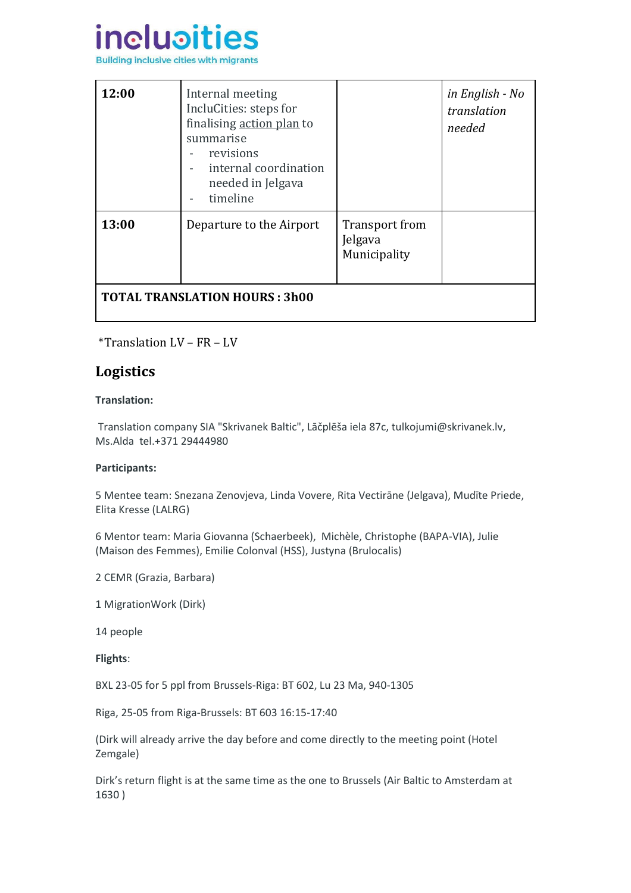

| 12:00                                | Internal meeting<br>IncluCities: steps for<br>finalising action plan to<br>summarise<br>revisions<br>internal coordination<br>needed in Jelgava<br>timeline |                                                  | in English - No<br>translation<br>needed |
|--------------------------------------|-------------------------------------------------------------------------------------------------------------------------------------------------------------|--------------------------------------------------|------------------------------------------|
| 13:00                                | Departure to the Airport                                                                                                                                    | <b>Transport from</b><br>Jelgava<br>Municipality |                                          |
| <b>TOTAL TRANSLATION HOURS: 3h00</b> |                                                                                                                                                             |                                                  |                                          |

\*Translation LV – FR – LV

## **Logistics**

#### **Translation:**

Translation company SIA "Skrivanek Baltic", Lāčplēša iela 87c, [tulkojumi@skrivanek.lv,](mailto:tulkojumi@skrivanek.lv) Ms.Alda tel.+371 29444980

#### **Participants:**

5 Mentee team: Snezana Zenovjeva, Linda Vovere, Rita Vectirāne (Jelgava), Mudīte Priede, Elita Kresse (LALRG)

6 Mentor team: Maria Giovanna (Schaerbeek), Michèle, Christophe (BAPA-VIA), Julie (Maison des Femmes), Emilie Colonval (HSS), Justyna (Brulocalis)

2 CEMR (Grazia, Barbara)

1 MigrationWork (Dirk)

14 people

**Flights**:

BXL 23-05 for 5 ppl from Brussels-Riga: BT 602, Lu 23 Ma, 940-1305

Riga, 25-05 from Riga-Brussels: BT 603 16:15-17:40

(Dirk will already arrive the day before and come directly to the meeting point (Hotel Zemgale)

Dirk's return flight is at the same time as the one to Brussels (Air Baltic to Amsterdam at 1630 )